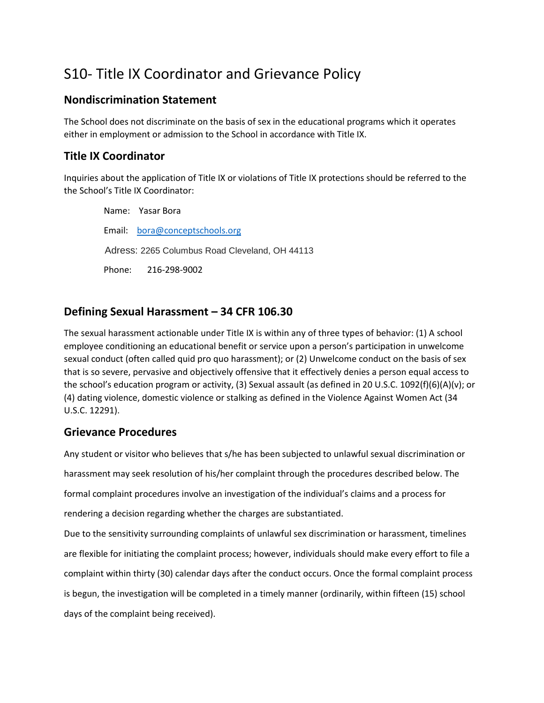# S10- Title IX Coordinator and Grievance Policy

## **Nondiscrimination Statement**

The School does not discriminate on the basis of sex in the educational programs which it operates either in employment or admission to the School in accordance with Title IX.

# **Title IX Coordinator**

Inquiries about the application of Title IX or violations of Title IX protections should be referred to the the School's Title IX Coordinator:

 Name: Yasar Bora Email: [bora@conceptschools.org](mailto:bora@conceptschools.org) Adress: 2265 Columbus Road Cleveland, OH 44113 Phone: 216-298-9002

# **Defining Sexual Harassment – 34 CFR 106.30**

The sexual harassment actionable under Title IX is within any of three types of behavior: (1) A school employee conditioning an educational benefit or service upon a person's participation in unwelcome sexual conduct (often called quid pro quo harassment); or (2) Unwelcome conduct on the basis of sex that is so severe, pervasive and objectively offensive that it effectively denies a person equal access to the school's education program or activity, (3) Sexual assault (as defined in 20 U.S.C. 1092(f)(6)(A)(v); or (4) dating violence, domestic violence or stalking as defined in the Violence Against Women Act (34 U.S.C. 12291).

# **Grievance Procedures**

Any student or visitor who believes that s/he has been subjected to unlawful sexual discrimination or harassment may seek resolution of his/her complaint through the procedures described below. The formal complaint procedures involve an investigation of the individual's claims and a process for rendering a decision regarding whether the charges are substantiated. Due to the sensitivity surrounding complaints of unlawful sex discrimination or harassment, timelines are flexible for initiating the complaint process; however, individuals should make every effort to file a complaint within thirty (30) calendar days after the conduct occurs. Once the formal complaint process is begun, the investigation will be completed in a timely manner (ordinarily, within fifteen (15) school days of the complaint being received).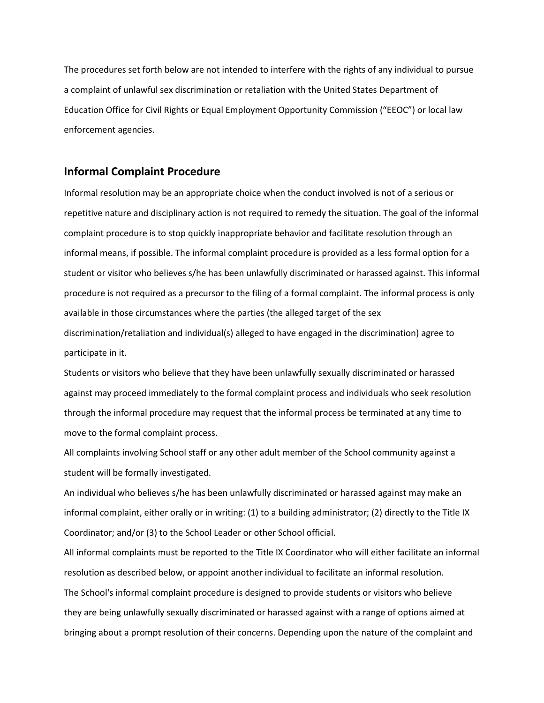The procedures set forth below are not intended to interfere with the rights of any individual to pursue a complaint of unlawful sex discrimination or retaliation with the United States Department of Education Office for Civil Rights or Equal Employment Opportunity Commission ("EEOC") or local law enforcement agencies.

#### **Informal Complaint Procedure**

Informal resolution may be an appropriate choice when the conduct involved is not of a serious or repetitive nature and disciplinary action is not required to remedy the situation. The goal of the informal complaint procedure is to stop quickly inappropriate behavior and facilitate resolution through an informal means, if possible. The informal complaint procedure is provided as a less formal option for a student or visitor who believes s/he has been unlawfully discriminated or harassed against. This informal procedure is not required as a precursor to the filing of a formal complaint. The informal process is only available in those circumstances where the parties (the alleged target of the sex discrimination/retaliation and individual(s) alleged to have engaged in the discrimination) agree to participate in it.

Students or visitors who believe that they have been unlawfully sexually discriminated or harassed against may proceed immediately to the formal complaint process and individuals who seek resolution through the informal procedure may request that the informal process be terminated at any time to move to the formal complaint process.

All complaints involving School staff or any other adult member of the School community against a student will be formally investigated.

An individual who believes s/he has been unlawfully discriminated or harassed against may make an informal complaint, either orally or in writing: (1) to a building administrator; (2) directly to the Title IX Coordinator; and/or (3) to the School Leader or other School official.

All informal complaints must be reported to the Title IX Coordinator who will either facilitate an informal resolution as described below, or appoint another individual to facilitate an informal resolution. The School's informal complaint procedure is designed to provide students or visitors who believe they are being unlawfully sexually discriminated or harassed against with a range of options aimed at bringing about a prompt resolution of their concerns. Depending upon the nature of the complaint and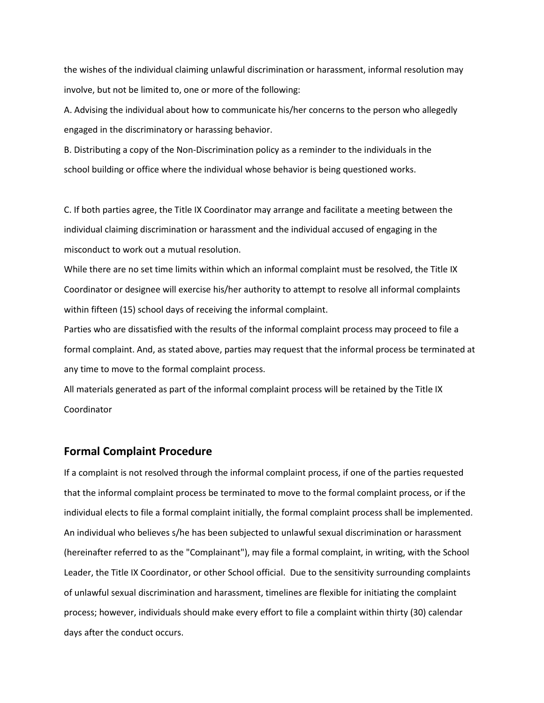the wishes of the individual claiming unlawful discrimination or harassment, informal resolution may involve, but not be limited to, one or more of the following:

A. Advising the individual about how to communicate his/her concerns to the person who allegedly engaged in the discriminatory or harassing behavior.

B. Distributing a copy of the Non-Discrimination policy as a reminder to the individuals in the school building or office where the individual whose behavior is being questioned works.

C. If both parties agree, the Title IX Coordinator may arrange and facilitate a meeting between the individual claiming discrimination or harassment and the individual accused of engaging in the misconduct to work out a mutual resolution.

While there are no set time limits within which an informal complaint must be resolved, the Title IX Coordinator or designee will exercise his/her authority to attempt to resolve all informal complaints within fifteen (15) school days of receiving the informal complaint.

Parties who are dissatisfied with the results of the informal complaint process may proceed to file a formal complaint. And, as stated above, parties may request that the informal process be terminated at any time to move to the formal complaint process.

All materials generated as part of the informal complaint process will be retained by the Title IX Coordinator

#### **Formal Complaint Procedure**

If a complaint is not resolved through the informal complaint process, if one of the parties requested that the informal complaint process be terminated to move to the formal complaint process, or if the individual elects to file a formal complaint initially, the formal complaint process shall be implemented. An individual who believes s/he has been subjected to unlawful sexual discrimination or harassment (hereinafter referred to as the "Complainant"), may file a formal complaint, in writing, with the School Leader, the Title IX Coordinator, or other School official. Due to the sensitivity surrounding complaints of unlawful sexual discrimination and harassment, timelines are flexible for initiating the complaint process; however, individuals should make every effort to file a complaint within thirty (30) calendar days after the conduct occurs.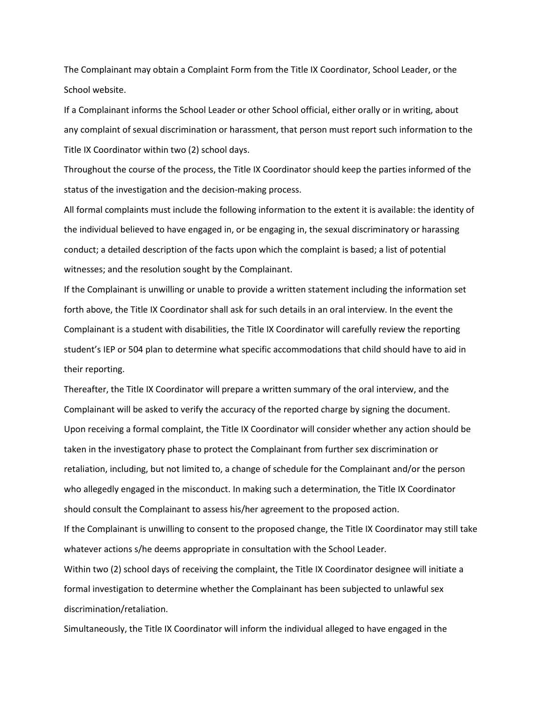The Complainant may obtain a Complaint Form from the Title IX Coordinator, School Leader, or the School website.

If a Complainant informs the School Leader or other School official, either orally or in writing, about any complaint of sexual discrimination or harassment, that person must report such information to the Title IX Coordinator within two (2) school days.

Throughout the course of the process, the Title IX Coordinator should keep the parties informed of the status of the investigation and the decision-making process.

All formal complaints must include the following information to the extent it is available: the identity of the individual believed to have engaged in, or be engaging in, the sexual discriminatory or harassing conduct; a detailed description of the facts upon which the complaint is based; a list of potential witnesses; and the resolution sought by the Complainant.

If the Complainant is unwilling or unable to provide a written statement including the information set forth above, the Title IX Coordinator shall ask for such details in an oral interview. In the event the Complainant is a student with disabilities, the Title IX Coordinator will carefully review the reporting student's IEP or 504 plan to determine what specific accommodations that child should have to aid in their reporting.

Thereafter, the Title IX Coordinator will prepare a written summary of the oral interview, and the Complainant will be asked to verify the accuracy of the reported charge by signing the document. Upon receiving a formal complaint, the Title IX Coordinator will consider whether any action should be taken in the investigatory phase to protect the Complainant from further sex discrimination or retaliation, including, but not limited to, a change of schedule for the Complainant and/or the person who allegedly engaged in the misconduct. In making such a determination, the Title IX Coordinator should consult the Complainant to assess his/her agreement to the proposed action.

If the Complainant is unwilling to consent to the proposed change, the Title IX Coordinator may still take whatever actions s/he deems appropriate in consultation with the School Leader.

Within two (2) school days of receiving the complaint, the Title IX Coordinator designee will initiate a formal investigation to determine whether the Complainant has been subjected to unlawful sex discrimination/retaliation.

Simultaneously, the Title IX Coordinator will inform the individual alleged to have engaged in the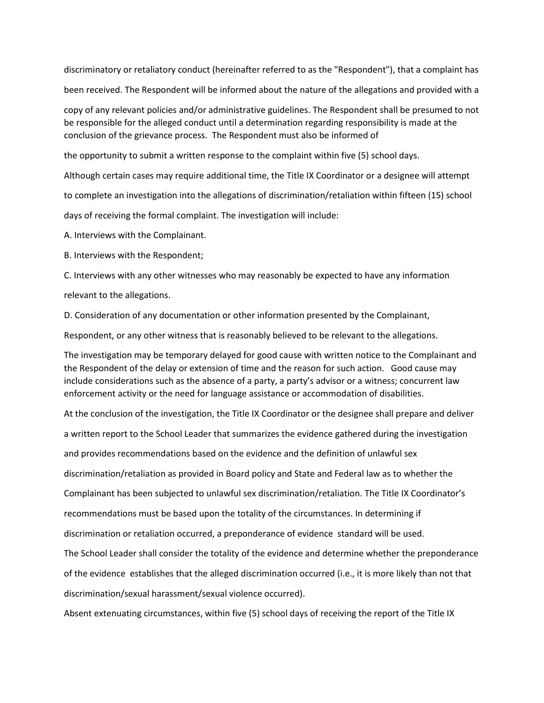discriminatory or retaliatory conduct (hereinafter referred to as the "Respondent"), that a complaint has been received. The Respondent will be informed about the nature of the allegations and provided with a

copy of any relevant policies and/or administrative guidelines. The Respondent shall be presumed to not be responsible for the alleged conduct until a determination regarding responsibility is made at the conclusion of the grievance process. The Respondent must also be informed of

the opportunity to submit a written response to the complaint within five (5) school days.

Although certain cases may require additional time, the Title IX Coordinator or a designee will attempt

to complete an investigation into the allegations of discrimination/retaliation within fifteen (15) school

days of receiving the formal complaint. The investigation will include:

A. Interviews with the Complainant.

B. Interviews with the Respondent;

C. Interviews with any other witnesses who may reasonably be expected to have any information

relevant to the allegations.

D. Consideration of any documentation or other information presented by the Complainant,

Respondent, or any other witness that is reasonably believed to be relevant to the allegations.

The investigation may be temporary delayed for good cause with written notice to the Complainant and the Respondent of the delay or extension of time and the reason for such action. Good cause may include considerations such as the absence of a party, a party's advisor or a witness; concurrent law enforcement activity or the need for language assistance or accommodation of disabilities.

At the conclusion of the investigation, the Title IX Coordinator or the designee shall prepare and deliver

a written report to the School Leader that summarizes the evidence gathered during the investigation

and provides recommendations based on the evidence and the definition of unlawful sex

discrimination/retaliation as provided in Board policy and State and Federal law as to whether the

Complainant has been subjected to unlawful sex discrimination/retaliation. The Title IX Coordinator's

recommendations must be based upon the totality of the circumstances. In determining if

discrimination or retaliation occurred, a preponderance of evidence standard will be used.

The School Leader shall consider the totality of the evidence and determine whether the preponderance

of the evidence establishes that the alleged discrimination occurred (i.e., it is more likely than not that

discrimination/sexual harassment/sexual violence occurred).

Absent extenuating circumstances, within five (5) school days of receiving the report of the Title IX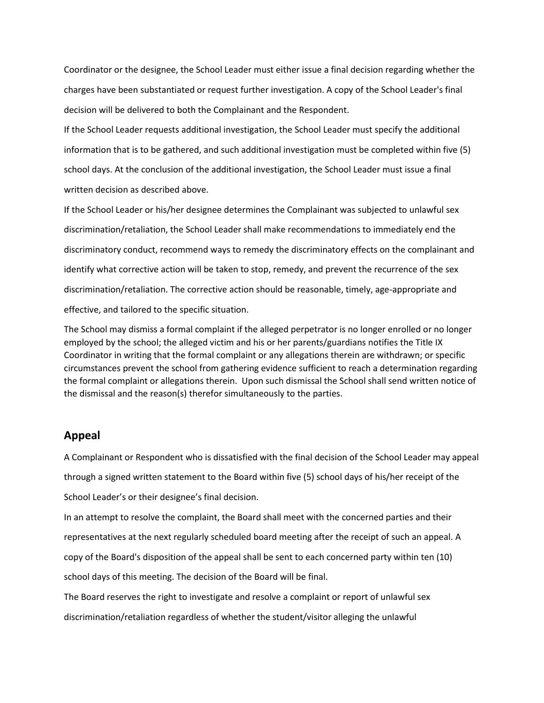Coordinator or the designee, the School Leader must either issue a final decision regarding whether the charges have been substantiated or request further investigation. A copy of the School Leader's final decision will be delivered to both the Complainant and the Respondent.

If the School Leader requests additional investigation, the School Leader must specify the additional information that is to be gathered, and such additional investigation must be completed within five (5) school days. At the conclusion of the additional investigation, the School Leader must issue a final written decision as described above.

If the School Leader or his/her designee determines the Complainant was subjected to unlawful sex discrimination/retaliation, the School Leader shall make recommendations to immediately end the discriminatory conduct, recommend ways to remedy the discriminatory effects on the complainant and identify what corrective action will be taken to stop, remedy, and prevent the recurrence of the sex discrimination/retaliation. The corrective action should be reasonable, timely, age-appropriate and effective, and tailored to the specific situation.

The School may dismiss a formal complaint if the alleged perpetrator is no longer enrolled or no longer employed by the school; the alleged victim and his or her parents/guardians notifies the Title IX Coordinator in writing that the formal complaint or any allegations therein are withdrawn; or specific circumstances prevent the school from gathering evidence sufficient to reach a determination regarding the formal complaint or allegations therein. Upon such dismissal the School shall send written notice of the dismissal and the reason(s) therefor simultaneously to the parties.

## **Appeal**

A Complainant or Respondent who is dissatisfied with the final decision of the School Leader may appeal through a signed written statement to the Board within five (5) school days of his/her receipt of the School Leader's or their designee's final decision.

In an attempt to resolve the complaint, the Board shall meet with the concerned parties and their representatives at the next regularly scheduled board meeting after the receipt of such an appeal. A copy of the Board's disposition of the appeal shall be sent to each concerned party within ten (10) school days of this meeting. The decision of the Board will be final.

The Board reserves the right to investigate and resolve a complaint or report of unlawful sex discrimination/retaliation regardless of whether the student/visitor alleging the unlawful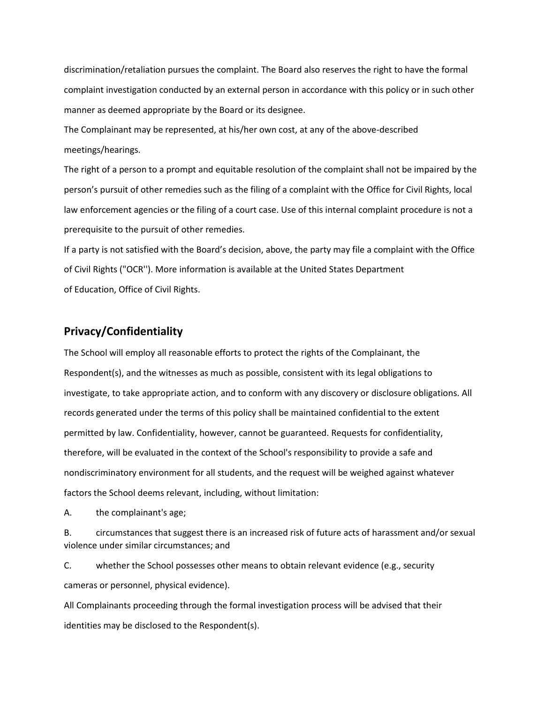discrimination/retaliation pursues the complaint. The Board also reserves the right to have the formal complaint investigation conducted by an external person in accordance with this policy or in such other manner as deemed appropriate by the Board or its designee.

The Complainant may be represented, at his/her own cost, at any of the above-described meetings/hearings.

The right of a person to a prompt and equitable resolution of the complaint shall not be impaired by the person's pursuit of other remedies such as the filing of a complaint with the Office for Civil Rights, local law enforcement agencies or the filing of a court case. Use of this internal complaint procedure is not a prerequisite to the pursuit of other remedies.

If a party is not satisfied with the Board's decision, above, the party may file a complaint with the Office of Civil Rights ("OCR''). More information is available at the United States Department of Education, Office of Civil Rights.

#### **Privacy/Confidentiality**

The School will employ all reasonable efforts to protect the rights of the Complainant, the Respondent(s), and the witnesses as much as possible, consistent with its legal obligations to investigate, to take appropriate action, and to conform with any discovery or disclosure obligations. All records generated under the terms of this policy shall be maintained confidential to the extent permitted by law. Confidentiality, however, cannot be guaranteed. Requests for confidentiality, therefore, will be evaluated in the context of the School's responsibility to provide a safe and nondiscriminatory environment for all students, and the request will be weighed against whatever factors the School deems relevant, including, without limitation:

A. the complainant's age;

B. circumstances that suggest there is an increased risk of future acts of harassment and/or sexual violence under similar circumstances; and

C. whether the School possesses other means to obtain relevant evidence (e.g., security cameras or personnel, physical evidence).

All Complainants proceeding through the formal investigation process will be advised that their identities may be disclosed to the Respondent(s).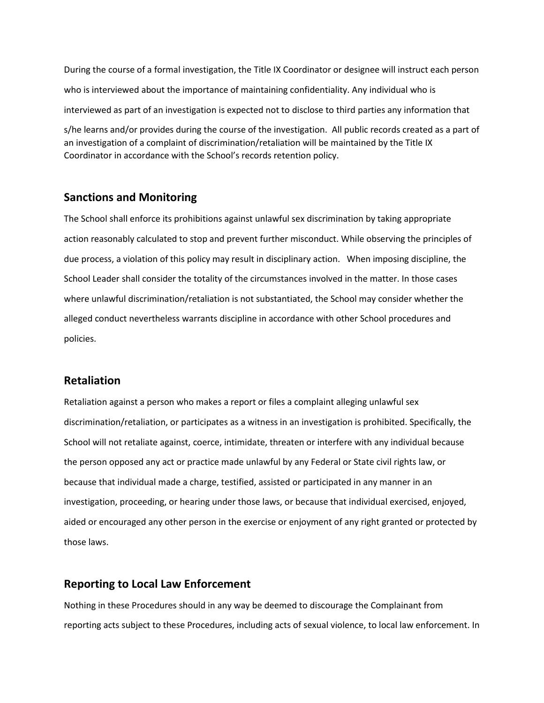During the course of a formal investigation, the Title IX Coordinator or designee will instruct each person who is interviewed about the importance of maintaining confidentiality. Any individual who is interviewed as part of an investigation is expected not to disclose to third parties any information that

s/he learns and/or provides during the course of the investigation. All public records created as a part of an investigation of a complaint of discrimination/retaliation will be maintained by the Title IX Coordinator in accordance with the School's records retention policy.

#### **Sanctions and Monitoring**

The School shall enforce its prohibitions against unlawful sex discrimination by taking appropriate action reasonably calculated to stop and prevent further misconduct. While observing the principles of due process, a violation of this policy may result in disciplinary action. When imposing discipline, the School Leader shall consider the totality of the circumstances involved in the matter. In those cases where unlawful discrimination/retaliation is not substantiated, the School may consider whether the alleged conduct nevertheless warrants discipline in accordance with other School procedures and policies.

#### **Retaliation**

Retaliation against a person who makes a report or files a complaint alleging unlawful sex discrimination/retaliation, or participates as a witness in an investigation is prohibited. Specifically, the School will not retaliate against, coerce, intimidate, threaten or interfere with any individual because the person opposed any act or practice made unlawful by any Federal or State civil rights law, or because that individual made a charge, testified, assisted or participated in any manner in an investigation, proceeding, or hearing under those laws, or because that individual exercised, enjoyed, aided or encouraged any other person in the exercise or enjoyment of any right granted or protected by those laws.

## **Reporting to Local Law Enforcement**

Nothing in these Procedures should in any way be deemed to discourage the Complainant from reporting acts subject to these Procedures, including acts of sexual violence, to local law enforcement. In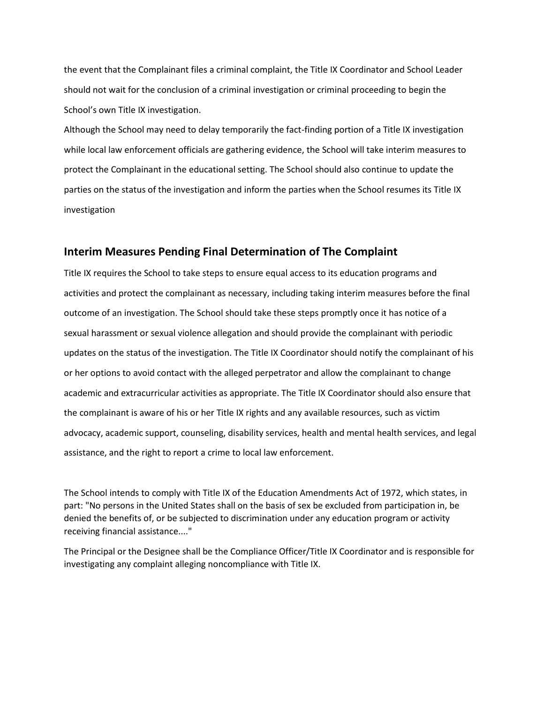the event that the Complainant files a criminal complaint, the Title IX Coordinator and School Leader should not wait for the conclusion of a criminal investigation or criminal proceeding to begin the School's own Title IX investigation.

Although the School may need to delay temporarily the fact-finding portion of a Title IX investigation while local law enforcement officials are gathering evidence, the School will take interim measures to protect the Complainant in the educational setting. The School should also continue to update the parties on the status of the investigation and inform the parties when the School resumes its Title IX investigation

#### **Interim Measures Pending Final Determination of The Complaint**

Title IX requires the School to take steps to ensure equal access to its education programs and activities and protect the complainant as necessary, including taking interim measures before the final outcome of an investigation. The School should take these steps promptly once it has notice of a sexual harassment or sexual violence allegation and should provide the complainant with periodic updates on the status of the investigation. The Title IX Coordinator should notify the complainant of his or her options to avoid contact with the alleged perpetrator and allow the complainant to change academic and extracurricular activities as appropriate. The Title IX Coordinator should also ensure that the complainant is aware of his or her Title IX rights and any available resources, such as victim advocacy, academic support, counseling, disability services, health and mental health services, and legal assistance, and the right to report a crime to local law enforcement.

The School intends to comply with Title IX of the Education Amendments Act of 1972, which states, in part: "No persons in the United States shall on the basis of sex be excluded from participation in, be denied the benefits of, or be subjected to discrimination under any education program or activity receiving financial assistance...."

The Principal or the Designee shall be the Compliance Officer/Title IX Coordinator and is responsible for investigating any complaint alleging noncompliance with Title IX.